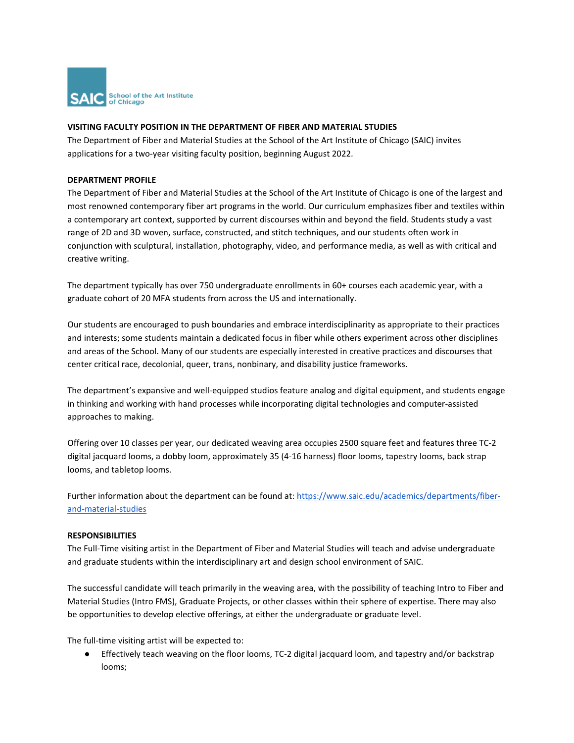

## **VISITING FACULTY POSITION IN THE DEPARTMENT OF FIBER AND MATERIAL STUDIES**

The Department of Fiber and Material Studies at the School of the Art Institute of Chicago (SAIC) invites applications for a two-year visiting faculty position, beginning August 2022.

### **DEPARTMENT PROFILE**

The Department of Fiber and Material Studies at the School of the Art Institute of Chicago is one of the largest and most renowned contemporary fiber art programs in the world. Our curriculum emphasizes fiber and textiles within a contemporary art context, supported by current discourses within and beyond the field. Students study a vast range of 2D and 3D woven, surface, constructed, and stitch techniques, and our students often work in conjunction with sculptural, installation, photography, video, and performance media, as well as with critical and creative writing.

The department typically has over 750 undergraduate enrollments in 60+ courses each academic year, with a graduate cohort of 20 MFA students from across the US and internationally.

Our students are encouraged to push boundaries and embrace interdisciplinarity as appropriate to their practices and interests; some students maintain a dedicated focus in fiber while others experiment across other disciplines and areas of the School. Many of our students are especially interested in creative practices and discourses that center critical race, decolonial, queer, trans, nonbinary, and disability justice frameworks.

The department's expansive and well-equipped studios feature analog and digital equipment, and students engage in thinking and working with hand processes while incorporating digital technologies and computer-assisted approaches to making.

Offering over 10 classes per year, our dedicated weaving area occupies 2500 square feet and features three TC-2 digital jacquard looms, a dobby loom, approximately 35 (4-16 harness) floor looms, tapestry looms, back strap looms, and tabletop looms.

Further information about the department can be found at[:](https://www.saic.edu/academics/departments/fiber-and-material-studies) [https://www.saic.edu/academics/departments/fiber](https://www.saic.edu/academics/departments/fiber-and-material-studies)[and-material-studies](https://www.saic.edu/academics/departments/fiber-and-material-studies)

### **RESPONSIBILITIES**

The Full-Time visiting artist in the Department of Fiber and Material Studies will teach and advise undergraduate and graduate students within the interdisciplinary art and design school environment of SAIC.

The successful candidate will teach primarily in the weaving area, with the possibility of teaching Intro to Fiber and Material Studies (Intro FMS), Graduate Projects, or other classes within their sphere of expertise. There may also be opportunities to develop elective offerings, at either the undergraduate or graduate level.

The full-time visiting artist will be expected to:

● Effectively teach weaving on the floor looms, TC-2 digital jacquard loom, and tapestry and/or backstrap looms;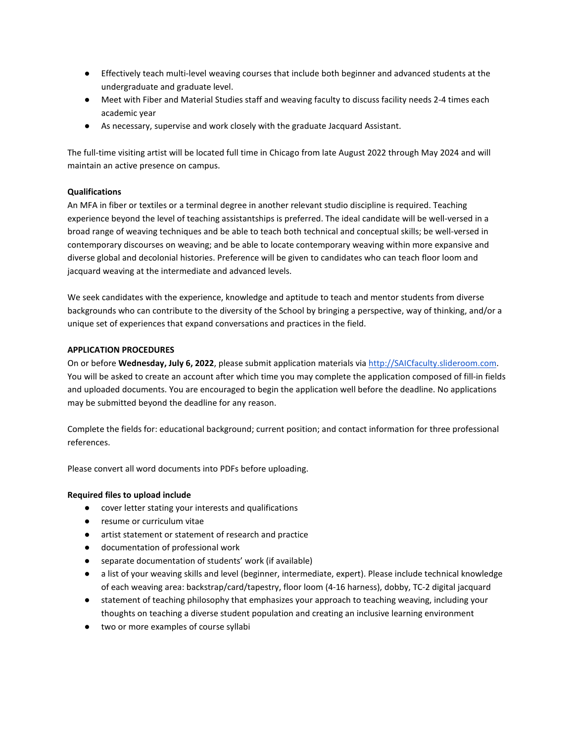- Effectively teach multi-level weaving courses that include both beginner and advanced students at the undergraduate and graduate level.
- Meet with Fiber and Material Studies staff and weaving faculty to discuss facility needs 2-4 times each academic year
- As necessary, supervise and work closely with the graduate Jacquard Assistant.

The full-time visiting artist will be located full time in Chicago from late August 2022 through May 2024 and will maintain an active presence on campus.

# **Qualifications**

An MFA in fiber or textiles or a terminal degree in another relevant studio discipline is required. Teaching experience beyond the level of teaching assistantships is preferred. The ideal candidate will be well-versed in a broad range of weaving techniques and be able to teach both technical and conceptual skills; be well-versed in contemporary discourses on weaving; and be able to locate contemporary weaving within more expansive and diverse global and decolonial histories. Preference will be given to candidates who can teach floor loom and jacquard weaving at the intermediate and advanced levels.

We seek candidates with the experience, knowledge and aptitude to teach and mentor students from diverse backgrounds who can contribute to the diversity of the School by bringing a perspective, way of thinking, and/or a unique set of experiences that expand conversations and practices in the field.

## **APPLICATION PROCEDURES**

On or before **Wednesday, July 6, 2022**, please submit application materials via [http://SAICfaculty.slideroom.com.](http://saicfaculty.slideroom.com/) You will be asked to create an account after which time you may complete the application composed of fill-in fields and uploaded documents. You are encouraged to begin the application well before the deadline. No applications may be submitted beyond the deadline for any reason.

Complete the fields for: educational background; current position; and contact information for three professional references.

Please convert all word documents into PDFs before uploading.

## **Required files to upload include**

- cover letter stating your interests and qualifications
- resume or curriculum vitae
- artist statement or statement of research and practice
- documentation of professional work
- separate documentation of students' work (if available)
- a list of your weaving skills and level (beginner, intermediate, expert). Please include technical knowledge of each weaving area: backstrap/card/tapestry, floor loom (4-16 harness), dobby, TC-2 digital jacquard
- statement of teaching philosophy that emphasizes your approach to teaching weaving, including your thoughts on teaching a diverse student population and creating an inclusive learning environment
- two or more examples of course syllabi